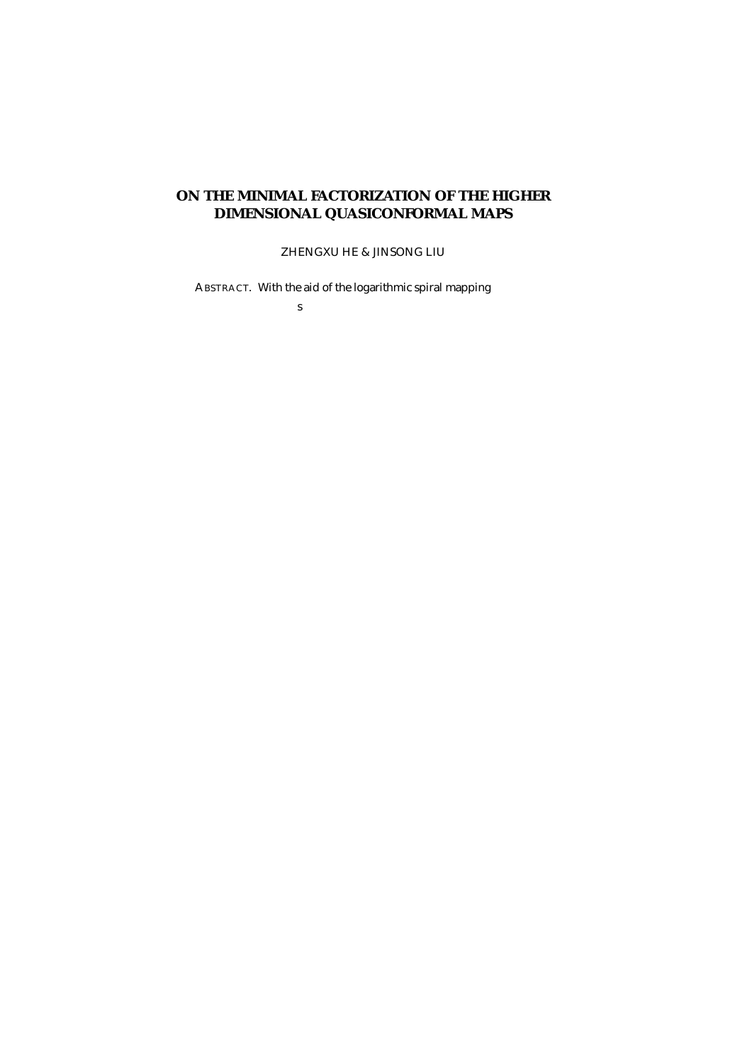## **ON THE MINIMAL FACTORIZATION OF THE HIGHER DIMENSIONAL QUASICONFORMAL MAPS**

ZHENGXU HE & JINSONG LIU

ABSTRACT. With the aid of the logarithmic spiral mapping

s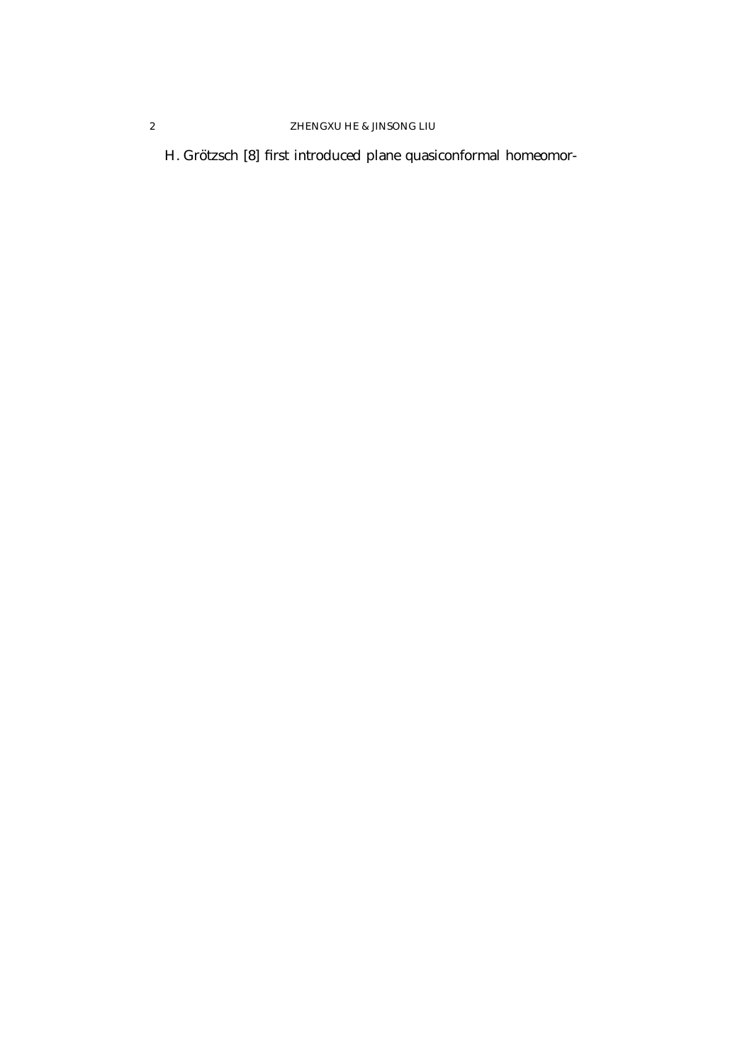## 2 ZHENGXU HE & JINSONG LIU

H. Grötzsch [8] first introduced plane quasiconformal homeomor-

 $\langle \alpha \rangle$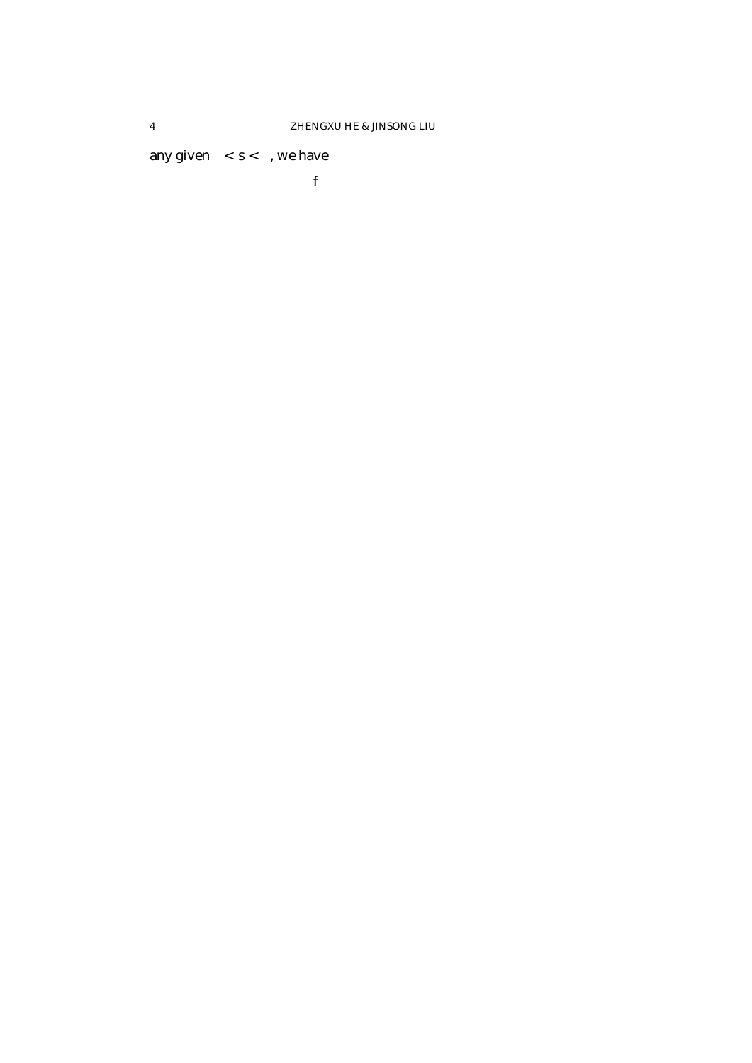any given  $0 < s < 1$ , we have

 $f$  *fiave*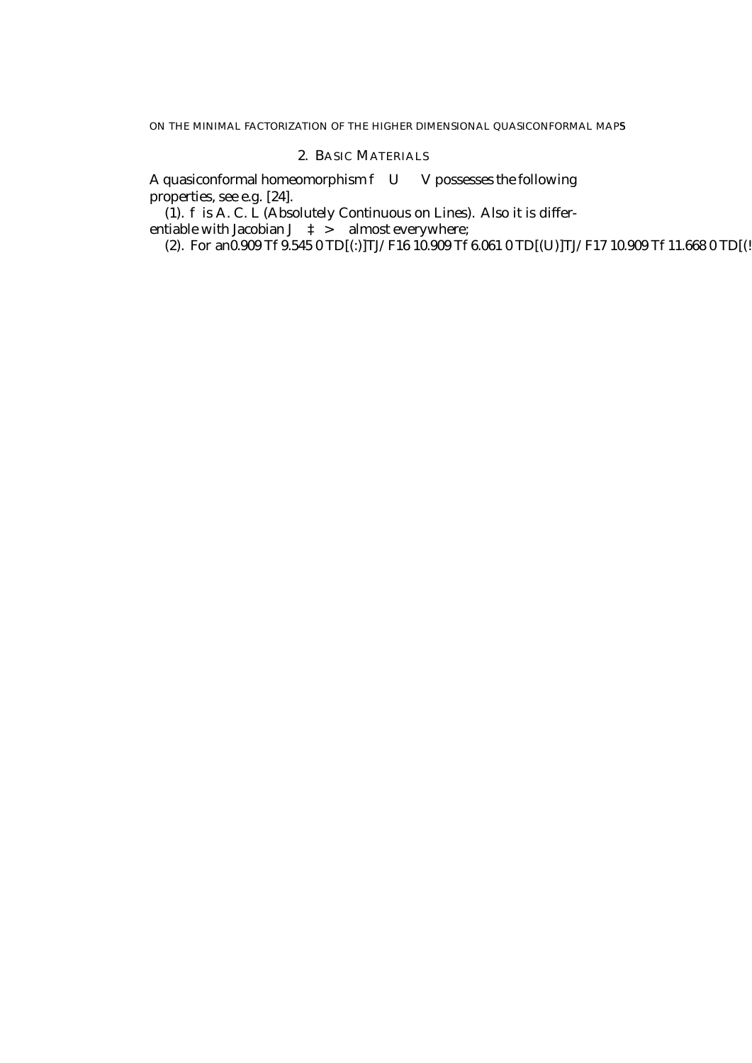ON THE MINIMAL FACTORIZATION OF THE HIGHER DIMENSIONAL QUASICONFORMAL MAPS

## 2. BASIC MATERIALS

A quasiconformal homeomorphism  $f: U \perp V$  possesses the following properties, see e.g. [24].

(1).  $f$  is A. C. L (Absolutely Continuous on Lines). Also it is differentiable with Jacobian  $J_f(\textsuperscript{3})>0$  almost everywhere;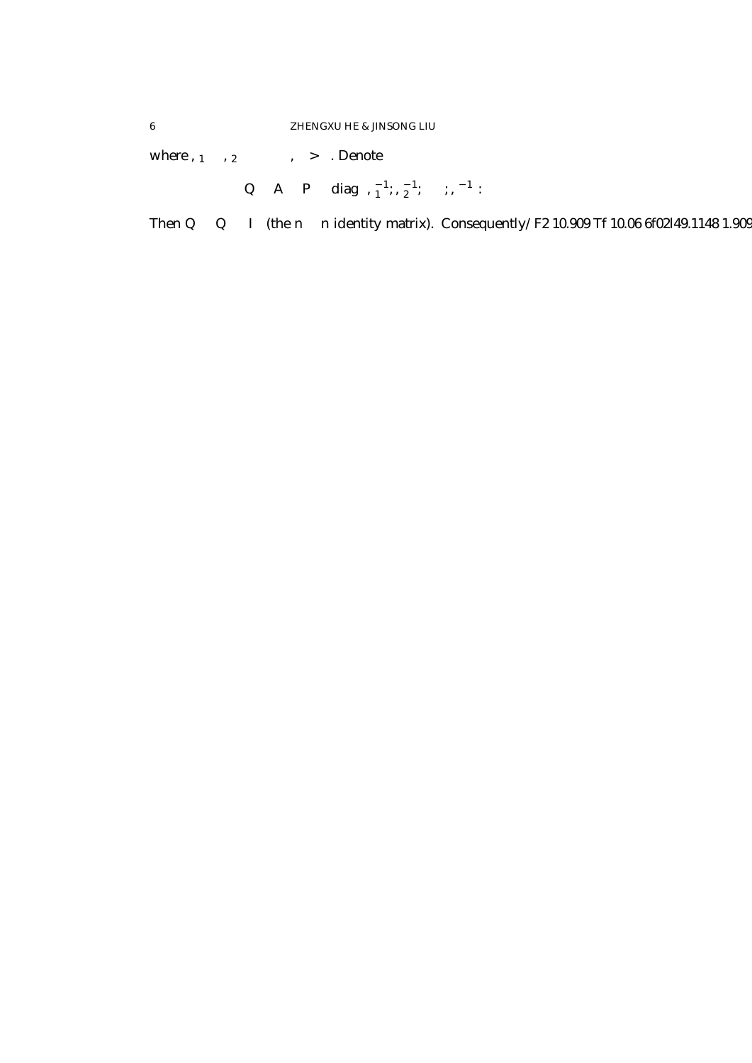where  $\frac{1}{2}$   $\frac{1}{2}$   $\frac{1}{2}$   $\frac{1}{2}$   $\frac{1}{2}$   $\frac{1}{2}$   $\frac{1}{2}$   $\frac{1}{2}$   $\frac{1}{2}$   $\frac{1}{2}$   $\frac{1}{2}$   $\frac{1}{2}$   $\frac{1}{2}$   $\frac{1}{2}$   $\frac{1}{2}$   $\frac{1}{2}$   $\frac{1}{2}$   $\frac{1}{2}$   $\frac{1}{2}$   $\frac{1}{2}$   $\frac{1}{2}$   $\frac{1$ 

$$
Q = A^T \mathcal{L} P^T \mathcal{L} \text{diag} \left( \frac{1}{2} \cdot \frac{1}{2} \cdot \frac{1}{2} \cdot \mathcal{L} \mathcal{L} \mathcal{L} \cdot \frac{1}{2} \cdot \frac{1}{2} \right).
$$

Then  $Q^T$   $\ell Q = I_n$  (the  $n \n\mathcal{L} n$  identity matrix). Consequently/F2 10.909 Tf 10.06 6f02l49.1148 1.909  $\ell Q = I_n$  (the  $n \mathrel{E} n$  identity matrix). Consequently/F2 10.909 Tf 10.06 6f02l49.1148 1.909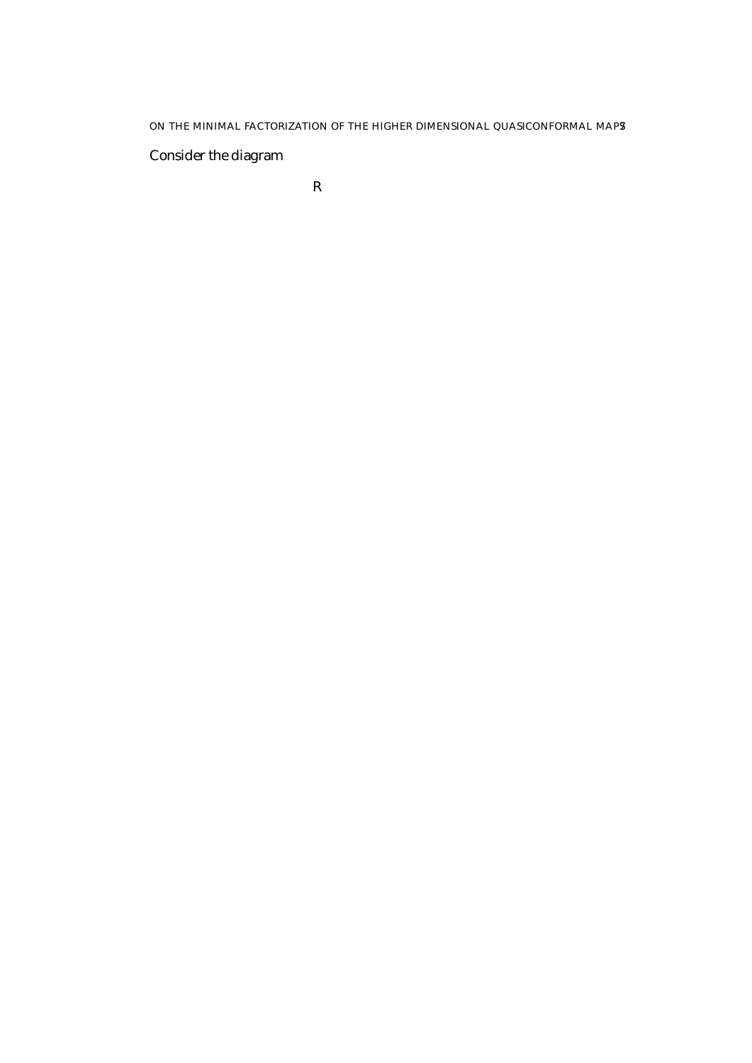ON THE MINIMAL FACTORIZATION OF THE HIGHER DIMENSIONAL QUASICONFORMAL MAPS

Consider the diagram

R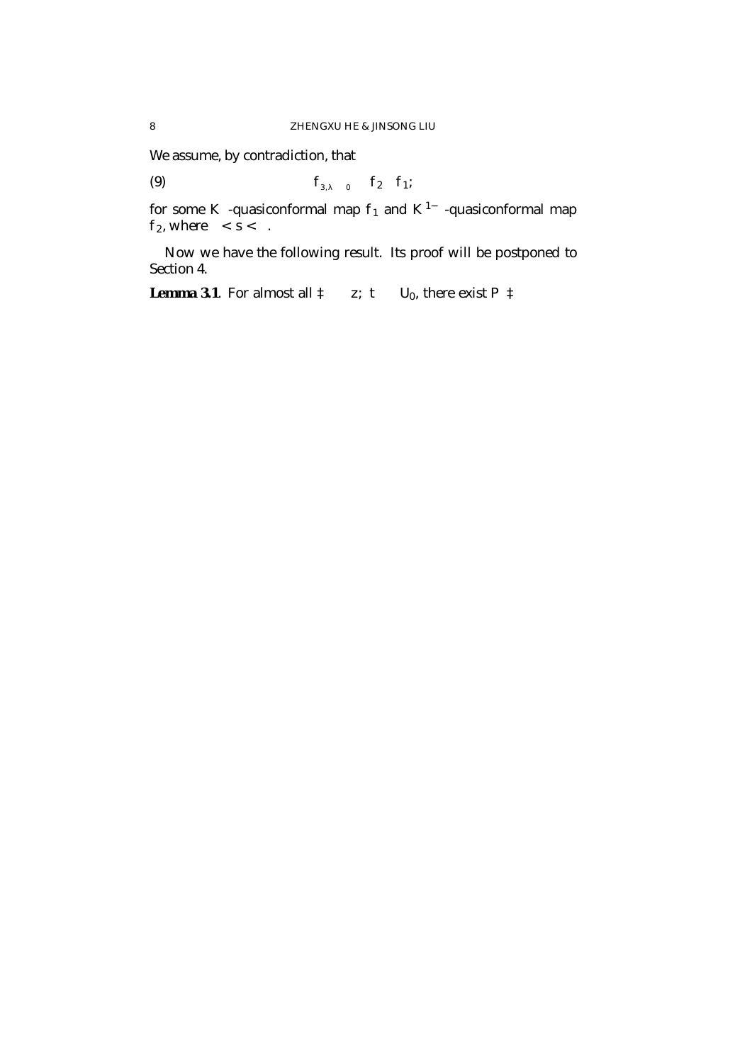We assume, by contradiction, that

(9) 
$$
f_{3/2}^2 j_{U_0} = f_2 \pm f_1;
$$

for some  $\mathcal{K}^{\mathcal{S}}$ -quasiconformal map  $f_1$  and  $\mathcal{K}^{1}{}_{\!\!i}$   $^{\mathcal{S}}$ -quasiconformal map  $f_2$ , where  $0 < s < 1$ .

Now we have the following result. Its proof will be postponed to Section 4.

**Lemma 3.1**. For almost all  $3 = (z; t)$  2  $U_0$ , there exist  $P(3)$  2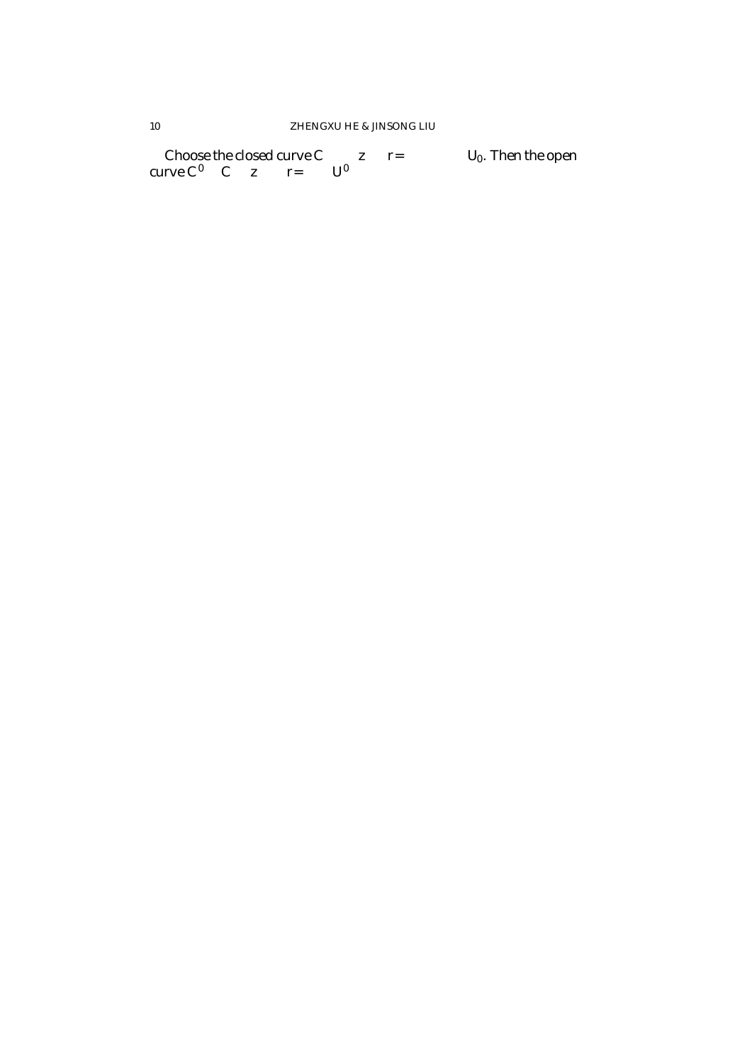Choose the closed curve  $C_r$  ´ fjzj = r=2g£ f0g ½  $U_0$ . Then the open curve  $C_r^{\theta}$  ´  $C_r$ nfz =  $\int r=2g\not\approx U^{\theta}$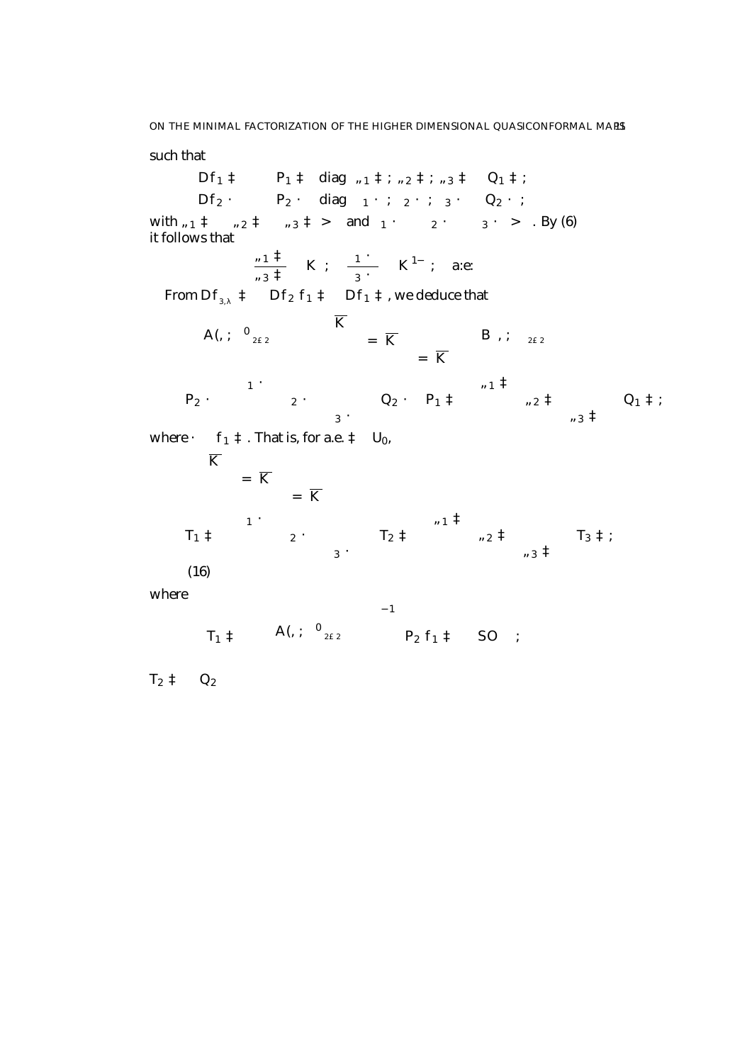such that

$$
DF_{1}(3) = P_{1}(3) \, \text{fdiag} \, \frac{1}{2}(3); \, \frac{1}{2}(3); \, \frac{1}{3}(3) \, \text{f } Q_{1}(3);
$$
\n
$$
DF_{2}(3) = P_{2}(3) \, \text{fdiag} \, \frac{1}{2}(3); \, \frac{1}{2}(3); \, \frac{1}{2}(3); \, \frac{1}{2}(3); \, \frac{1}{2}(3); \, \frac{1}{2}(3); \, \frac{1}{2}(3); \, \frac{1}{2}(3); \, \frac{1}{2}(3); \, \frac{1}{2}(3); \, \frac{1}{2}(3); \, \frac{1}{2}(3); \, \frac{1}{2}(3); \, \frac{1}{2}(3); \, \frac{1}{2}(3); \, \frac{1}{2}(3); \, \frac{1}{2}(3); \, \frac{1}{2}(3); \, \frac{1}{2}(3); \, \frac{1}{2}(3); \, \frac{1}{2}(3); \, \frac{1}{2}(3); \, \frac{1}{2}(3); \, \frac{1}{2}(3); \, \frac{1}{2}(3); \, \frac{1}{2}(3); \, \frac{1}{2}(3); \, \frac{1}{2}(3); \, \frac{1}{2}(3); \, \frac{1}{2}(3); \, \frac{1}{2}(3); \, \frac{1}{2}(3); \, \frac{1}{2}(3); \, \frac{1}{2}(3); \, \frac{1}{2}(3); \, \frac{1}{2}(3); \, \frac{1}{2}(3); \, \frac{1}{2}(3); \, \frac{1}{2}(3); \, \frac{1}{2}(3); \, \frac{1}{2}(3); \, \frac{1}{2}(3); \, \frac{1}{2}(3); \, \frac{1}{2}(3); \, \frac{1}{2}(3); \, \frac{1}{2}(3); \, \frac{1}{2}(3); \, \frac{1}{2}(3); \, \frac{1}{2}(3); \, \frac{1}{2}(3); \, \frac{1}{2}(3); \, \frac{1}{2}(3); \, \frac{1}{2}(3); \, \frac{1}{2}(3); \, \frac{1}{2}(3); \, \frac{1}{2}(3); \, \frac{1}{2}(3); \, \frac{1}{2}(3); \, \frac{1}{2}(3); \, \frac{1}{2}(3
$$

$$
T_1(3) = \frac{B}{\beta^2} A(3; \mu^0)_{2 \le 2} \sum_{\substack{p=1 \ p \text{ odd, with } p \text{ odd, with } p \text{ odd, with } p \text{ odd, with } p \text{ odd, with } p \text{ odd, with } p \text{ odd, with } p \text{ odd, with } p \text{ odd, with } p \text{ odd, with } p \text{ odd, with } p \text{ odd, with } p \text{ odd, with } p \text{ odd, with } p \text{ odd, with } p \text{ odd, with } p \text{ odd, with } p \text{ odd, with } p \text{ odd, with } p \text{ odd, with } p \text{ odd, with } p \text{ odd, with } p \text{ odd, with } p \text{ odd, with } p \text{ odd, with } p \text{ odd, with } p \text{ odd, with } p \text{ odd, with } p \text{ odd, with } p \text{ odd, with } p \text{ odd, with } p \text{ odd, with } p \text{ odd, with } p \text{ odd, with } p \text{ odd, with } p \text{ odd, with } p \text{ odd, with } p \text{ odd, with } p \text{ odd, with } p \text{ odd, with } p \text{ odd, with } p \text{ odd, with } p \text{ odd, with } p \text{ odd, with } p \text{ odd, with } p \text{ odd, with } p \text{ odd, with } p \text{ odd, with } p \text{ odd, with } p \text{ odd, with } p \text{ odd, with } p \text{ odd, with } p \text{ odd, with } p \text{ odd, with } p \text{ odd, with } p \text{ odd, with } p \text{ odd, with } p \text{ odd, with } p \text{ odd, with } p \text{ odd, with } p \text{ odd, with } p \text{ odd, with } p \text{ odd, with } p \text{ odd, with } p \text{ odd, with } p \text{ odd, with } p \text{ odd, with } p \text{ odd, with } p \text{ odd, with } p \text{ odd, with } p \text{ odd, with } p \text{ odd, with } p \text{ odd, with } p \text{ odd, with } p \text{ odd, with } p \text{ odd, with } p \text{ odd, with } p \text{ odd, with } p \text{ odd, with } p \text{ odd, with } p \text{ odd, with } p \text{ odd, with } p \text{ odd, with } p \text{ odd, with } p \text{ odd, with } p \text{ odd, with } p \text{ odd, with } p \text{ odd, with } p \text{ odd, with } p
$$

 $T_2(3) = Q_2($ <sub>1</sub> (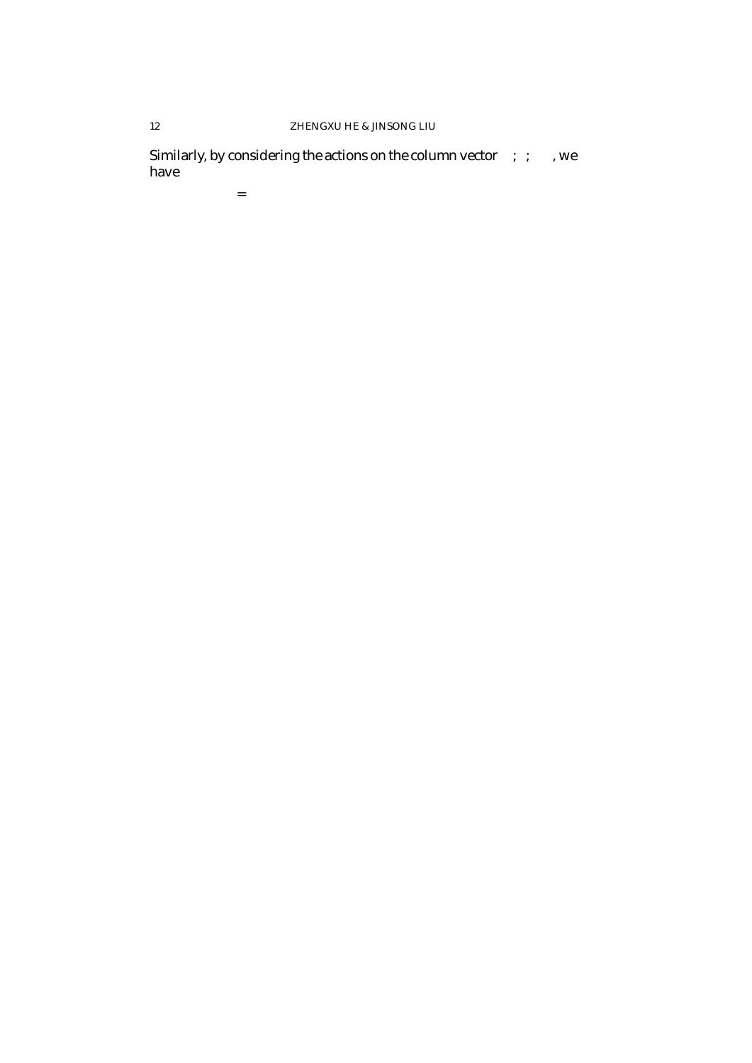## ZHENGXU HE & JINSONG LIU

Similarly, by considering the actions on the column vector  $(0,0,1)^T$ , we have

 $1 =$ 

 $12$